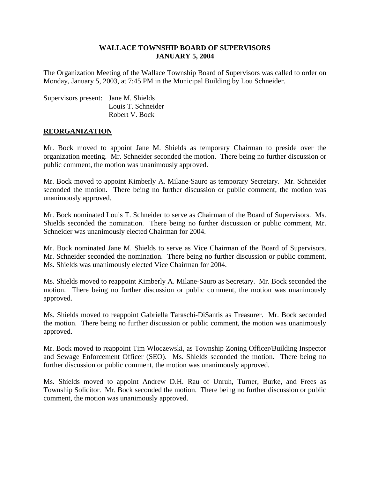#### **WALLACE TOWNSHIP BOARD OF SUPERVISORS JANUARY 5, 2004**

The Organization Meeting of the Wallace Township Board of Supervisors was called to order on Monday, January 5, 2003, at 7:45 PM in the Municipal Building by Lou Schneider.

| Supervisors present: Jane M. Shields |                    |
|--------------------------------------|--------------------|
|                                      | Louis T. Schneider |
|                                      | Robert V. Bock     |

#### **REORGANIZATION**

Mr. Bock moved to appoint Jane M. Shields as temporary Chairman to preside over the organization meeting. Mr. Schneider seconded the motion. There being no further discussion or public comment, the motion was unanimously approved.

Mr. Bock moved to appoint Kimberly A. Milane-Sauro as temporary Secretary. Mr. Schneider seconded the motion. There being no further discussion or public comment, the motion was unanimously approved.

Mr. Bock nominated Louis T. Schneider to serve as Chairman of the Board of Supervisors. Ms. Shields seconded the nomination. There being no further discussion or public comment, Mr. Schneider was unanimously elected Chairman for 2004.

Mr. Bock nominated Jane M. Shields to serve as Vice Chairman of the Board of Supervisors. Mr. Schneider seconded the nomination. There being no further discussion or public comment, Ms. Shields was unanimously elected Vice Chairman for 2004.

Ms. Shields moved to reappoint Kimberly A. Milane-Sauro as Secretary. Mr. Bock seconded the motion. There being no further discussion or public comment, the motion was unanimously approved.

Ms. Shields moved to reappoint Gabriella Taraschi-DiSantis as Treasurer. Mr. Bock seconded the motion. There being no further discussion or public comment, the motion was unanimously approved.

Mr. Bock moved to reappoint Tim Wloczewski, as Township Zoning Officer/Building Inspector and Sewage Enforcement Officer (SEO). Ms. Shields seconded the motion. There being no further discussion or public comment, the motion was unanimously approved.

Ms. Shields moved to appoint Andrew D.H. Rau of Unruh, Turner, Burke, and Frees as Township Solicitor. Mr. Bock seconded the motion. There being no further discussion or public comment, the motion was unanimously approved.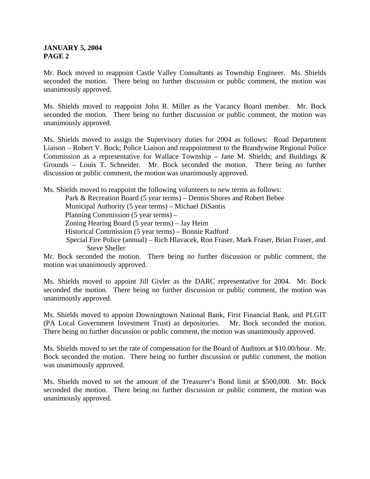Mr. Bock moved to reappoint Castle Valley Consultants as Township Engineer. Ms. Shields seconded the motion. There being no further discussion or public comment, the motion was unanimously approved.

Ms. Shields moved to reappoint John R. Miller as the Vacancy Board member. Mr. Bock seconded the motion. There being no further discussion or public comment, the motion was unanimously approved.

Ms. Shields moved to assign the Supervisory duties for 2004 as follows: Road Department Liaison – Robert V. Bock; Police Liaison and reappointment to the Brandywine Regional Police Commission as a representative for Wallace Township – Jane M. Shields; and Buildings  $\&$ Grounds – Louis T. Schneider. Mr. Bock seconded the motion. There being no further discussion or public comment, the motion was unanimously approved.

Ms. Shields moved to reappoint the following volunteers to new terms as follows:

Park & Recreation Board (5 year terms) – Dennis Shores and Robert Bebee

Municipal Authority (5 year terms) – Michael DiSantis

Planning Commission (5 year terms) –

Zoning Hearing Board (5 year terms) – Jay Heim

Historical Commission (5 year terms) – Bonnie Radford

Special Fire Police (annual) – Rich Hlavacek, Ron Fraser, Mark Fraser, Brian Fraser, and Steve Sheller

Mr. Bock seconded the motion. There being no further discussion or public comment, the motion was unanimously approved.

Ms. Shields moved to appoint Jill Givler as the DARC representative for 2004. Mr. Bock seconded the motion. There being no further discussion or public comment, the motion was unanimously approved.

Ms. Shields moved to appoint Downingtown National Bank, First Financial Bank, and PLGIT (PA Local Government Investment Trust) as depositories. Mr. Bock seconded the motion. There being no further discussion or public comment, the motion was unanimously approved.

Ms. Shields moved to set the rate of compensation for the Board of Auditors at \$10.00/hour. Mr. Bock seconded the motion. There being no further discussion or public comment, the motion was unanimously approved.

Ms. Shields moved to set the amount of the Treasurer's Bond limit at \$500,000. Mr. Bock seconded the motion. There being no further discussion or public comment, the motion was unanimously approved.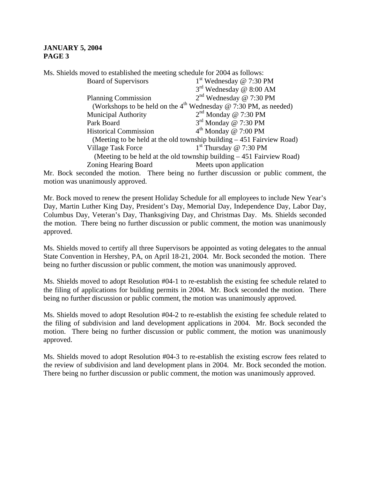Ms. Shields moved to established the meeting schedule for 2004 as follows:

| <b>Board of Supervisors</b>                                            | $1st$ Wednesday @ 7:30 PM                                                           |
|------------------------------------------------------------------------|-------------------------------------------------------------------------------------|
|                                                                        | 3 <sup>rd</sup> Wednesday @ 8:00 AM                                                 |
| <b>Planning Commission</b>                                             | $2nd$ Wednesday @ 7:30 PM                                                           |
|                                                                        | (Workshops to be held on the 4 <sup>th</sup> Wednesday $\omega$ 7:30 PM, as needed) |
| <b>Municipal Authority</b>                                             | $2nd$ Monday @ 7:30 PM                                                              |
| Park Board                                                             | $3rd$ Monday @ 7:30 PM                                                              |
| <b>Historical Commission</b>                                           | $4th$ Monday @ 7:00 PM                                                              |
| (Meeting to be held at the old township building $-451$ Fairview Road) |                                                                                     |
| <b>Village Task Force</b>                                              | $1st$ Thursday @ 7:30 PM                                                            |
| (Meeting to be held at the old township building $-451$ Fairview Road) |                                                                                     |
| <b>Zoning Hearing Board</b>                                            | Meets upon application                                                              |

Mr. Bock seconded the motion. There being no further discussion or public comment, the motion was unanimously approved.

Mr. Bock moved to renew the present Holiday Schedule for all employees to include New Year's Day, Martin Luther King Day, President's Day, Memorial Day, Independence Day, Labor Day, Columbus Day, Veteran's Day, Thanksgiving Day, and Christmas Day. Ms. Shields seconded the motion. There being no further discussion or public comment, the motion was unanimously approved.

Ms. Shields moved to certify all three Supervisors be appointed as voting delegates to the annual State Convention in Hershey, PA, on April 18-21, 2004. Mr. Bock seconded the motion. There being no further discussion or public comment, the motion was unanimously approved.

Ms. Shields moved to adopt Resolution #04-1 to re-establish the existing fee schedule related to the filing of applications for building permits in 2004. Mr. Bock seconded the motion. There being no further discussion or public comment, the motion was unanimously approved.

Ms. Shields moved to adopt Resolution #04-2 to re-establish the existing fee schedule related to the filing of subdivision and land development applications in 2004. Mr. Bock seconded the motion. There being no further discussion or public comment, the motion was unanimously approved.

Ms. Shields moved to adopt Resolution #04-3 to re-establish the existing escrow fees related to the review of subdivision and land development plans in 2004. Mr. Bock seconded the motion. There being no further discussion or public comment, the motion was unanimously approved.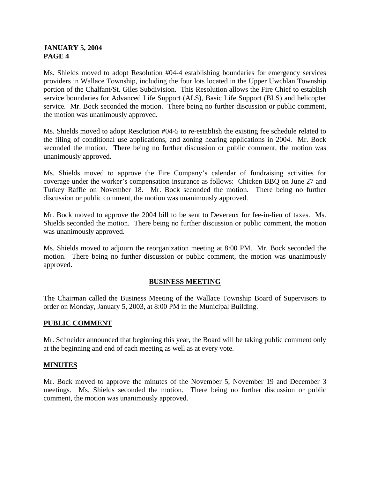Ms. Shields moved to adopt Resolution #04-4 establishing boundaries for emergency services providers in Wallace Township, including the four lots located in the Upper Uwchlan Township portion of the Chalfant/St. Giles Subdivision. This Resolution allows the Fire Chief to establish service boundaries for Advanced Life Support (ALS), Basic Life Support (BLS) and helicopter service. Mr. Bock seconded the motion. There being no further discussion or public comment, the motion was unanimously approved.

Ms. Shields moved to adopt Resolution #04-5 to re-establish the existing fee schedule related to the filing of conditional use applications, and zoning hearing applications in 2004. Mr. Bock seconded the motion. There being no further discussion or public comment, the motion was unanimously approved.

Ms. Shields moved to approve the Fire Company's calendar of fundraising activities for coverage under the worker's compensation insurance as follows: Chicken BBQ on June 27 and Turkey Raffle on November 18. Mr. Bock seconded the motion. There being no further discussion or public comment, the motion was unanimously approved.

Mr. Bock moved to approve the 2004 bill to be sent to Devereux for fee-in-lieu of taxes. Ms. Shields seconded the motion. There being no further discussion or public comment, the motion was unanimously approved.

Ms. Shields moved to adjourn the reorganization meeting at 8:00 PM. Mr. Bock seconded the motion. There being no further discussion or public comment, the motion was unanimously approved.

# **BUSINESS MEETING**

The Chairman called the Business Meeting of the Wallace Township Board of Supervisors to order on Monday, January 5, 2003, at 8:00 PM in the Municipal Building.

# **PUBLIC COMMENT**

Mr. Schneider announced that beginning this year, the Board will be taking public comment only at the beginning and end of each meeting as well as at every vote.

#### **MINUTES**

Mr. Bock moved to approve the minutes of the November 5, November 19 and December 3 meetings. Ms. Shields seconded the motion. There being no further discussion or public comment, the motion was unanimously approved.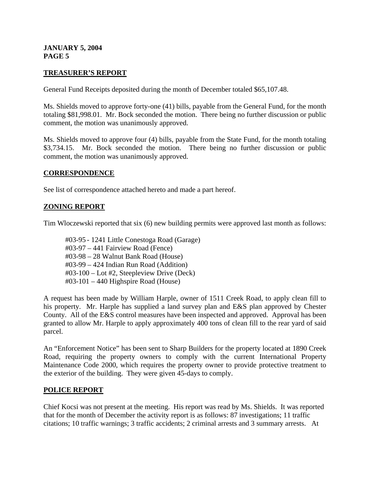## **TREASURER'S REPORT**

General Fund Receipts deposited during the month of December totaled \$65,107.48.

Ms. Shields moved to approve forty-one (41) bills, payable from the General Fund, for the month totaling \$81,998.01. Mr. Bock seconded the motion. There being no further discussion or public comment, the motion was unanimously approved.

Ms. Shields moved to approve four (4) bills, payable from the State Fund, for the month totaling \$3,734.15. Mr. Bock seconded the motion. There being no further discussion or public comment, the motion was unanimously approved.

#### **CORRESPONDENCE**

See list of correspondence attached hereto and made a part hereof.

#### **ZONING REPORT**

Tim Wloczewski reported that six (6) new building permits were approved last month as follows:

 #03-95 - 1241 Little Conestoga Road (Garage) #03-97 – 441 Fairview Road (Fence) #03-98 – 28 Walnut Bank Road (House) #03-99 – 424 Indian Run Road (Addition) #03-100 – Lot #2, Steepleview Drive (Deck) #03-101 – 440 Highspire Road (House)

A request has been made by William Harple, owner of 1511 Creek Road, to apply clean fill to his property. Mr. Harple has supplied a land survey plan and E&S plan approved by Chester County. All of the E&S control measures have been inspected and approved. Approval has been granted to allow Mr. Harple to apply approximately 400 tons of clean fill to the rear yard of said parcel.

An "Enforcement Notice" has been sent to Sharp Builders for the property located at 1890 Creek Road, requiring the property owners to comply with the current International Property Maintenance Code 2000, which requires the property owner to provide protective treatment to the exterior of the building. They were given 45-days to comply.

#### **POLICE REPORT**

Chief Kocsi was not present at the meeting. His report was read by Ms. Shields. It was reported that for the month of December the activity report is as follows: 87 investigations; 11 traffic citations; 10 traffic warnings; 3 traffic accidents; 2 criminal arrests and 3 summary arrests. At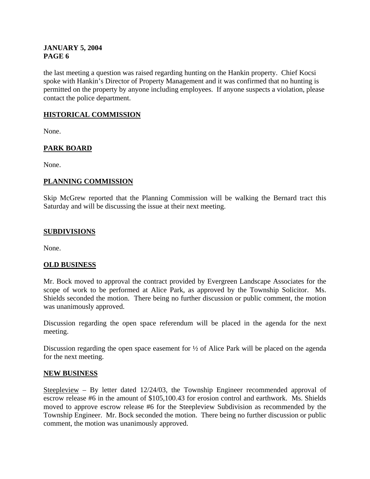the last meeting a question was raised regarding hunting on the Hankin property. Chief Kocsi spoke with Hankin's Director of Property Management and it was confirmed that no hunting is permitted on the property by anyone including employees. If anyone suspects a violation, please contact the police department.

# **HISTORICAL COMMISSION**

None.

# **PARK BOARD**

None.

# **PLANNING COMMISSION**

Skip McGrew reported that the Planning Commission will be walking the Bernard tract this Saturday and will be discussing the issue at their next meeting.

## **SUBDIVISIONS**

None.

# **OLD BUSINESS**

Mr. Bock moved to approval the contract provided by Evergreen Landscape Associates for the scope of work to be performed at Alice Park, as approved by the Township Solicitor. Ms. Shields seconded the motion. There being no further discussion or public comment, the motion was unanimously approved.

Discussion regarding the open space referendum will be placed in the agenda for the next meeting.

Discussion regarding the open space easement for  $\frac{1}{2}$  of Alice Park will be placed on the agenda for the next meeting.

#### **NEW BUSINESS**

Steepleview – By letter dated 12/24/03, the Township Engineer recommended approval of escrow release #6 in the amount of \$105,100.43 for erosion control and earthwork. Ms. Shields moved to approve escrow release #6 for the Steepleview Subdivision as recommended by the Township Engineer. Mr. Bock seconded the motion. There being no further discussion or public comment, the motion was unanimously approved.